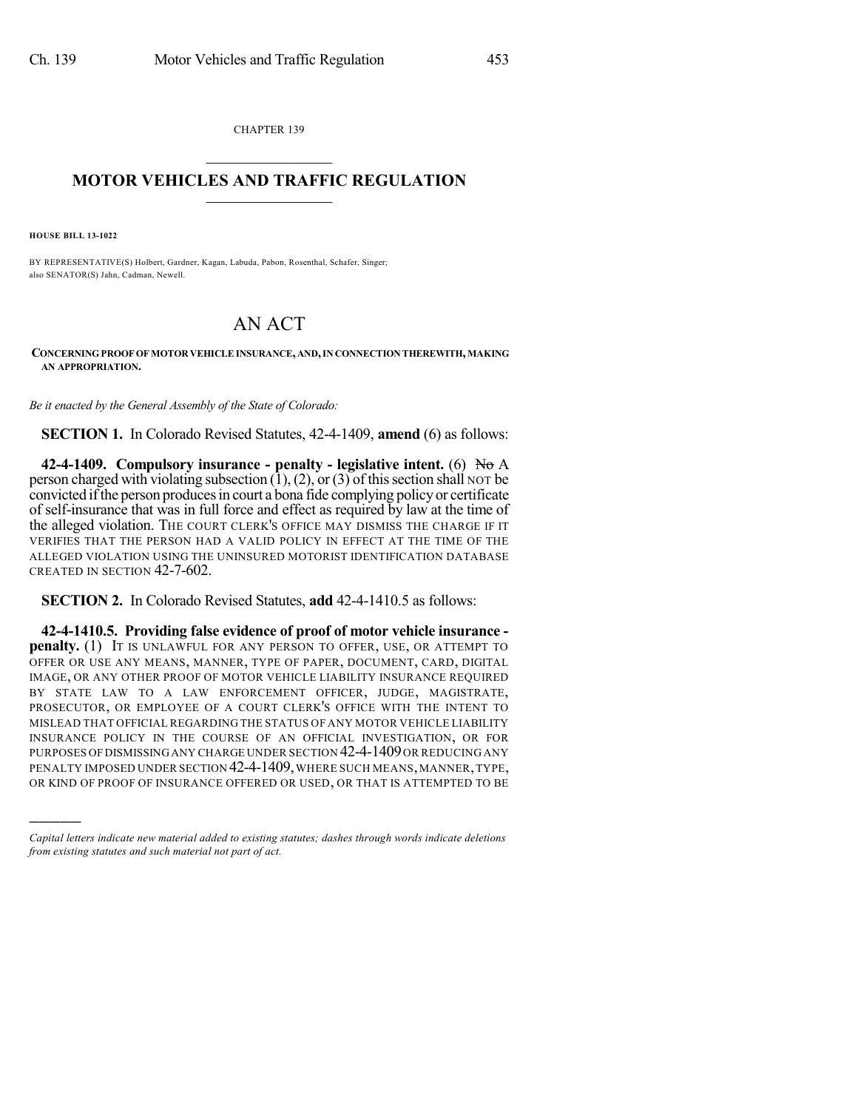CHAPTER 139  $\overline{\phantom{a}}$  . The set of the set of the set of the set of the set of the set of the set of the set of the set of the set of the set of the set of the set of the set of the set of the set of the set of the set of the set o

## **MOTOR VEHICLES AND TRAFFIC REGULATION**  $\frac{1}{2}$  ,  $\frac{1}{2}$  ,  $\frac{1}{2}$  ,  $\frac{1}{2}$  ,  $\frac{1}{2}$  ,  $\frac{1}{2}$  ,  $\frac{1}{2}$

**HOUSE BILL 13-1022**

)))))

BY REPRESENTATIVE(S) Holbert, Gardner, Kagan, Labuda, Pabon, Rosenthal, Schafer, Singer; also SENATOR(S) Jahn, Cadman, Newell.

## AN ACT

**CONCERNINGPROOF OF MOTOR VEHICLEINSURANCE, AND,IN CONNECTION THEREWITH, MAKING AN APPROPRIATION.**

*Be it enacted by the General Assembly of the State of Colorado:*

**SECTION 1.** In Colorado Revised Statutes, 42-4-1409, **amend** (6) as follows:

**42-4-1409. Compulsory insurance - penalty - legislative intent.** (6) No A person charged with violating subsection  $(1)$ ,  $(2)$ , or  $(3)$  of this section shall NOT be convicted ifthe person producesin court a bona fide complying policy or certificate of self-insurance that was in full force and effect as required by law at the time of the alleged violation. THE COURT CLERK'S OFFICE MAY DISMISS THE CHARGE IF IT VERIFIES THAT THE PERSON HAD A VALID POLICY IN EFFECT AT THE TIME OF THE ALLEGED VIOLATION USING THE UNINSURED MOTORIST IDENTIFICATION DATABASE CREATED IN SECTION 42-7-602.

**SECTION 2.** In Colorado Revised Statutes, **add** 42-4-1410.5 as follows:

**42-4-1410.5. Providing false evidence of proof of motor vehicle insurance penalty.** (1) IT IS UNLAWFUL FOR ANY PERSON TO OFFER, USE, OR ATTEMPT TO OFFER OR USE ANY MEANS, MANNER, TYPE OF PAPER, DOCUMENT, CARD, DIGITAL IMAGE, OR ANY OTHER PROOF OF MOTOR VEHICLE LIABILITY INSURANCE REQUIRED BY STATE LAW TO A LAW ENFORCEMENT OFFICER, JUDGE, MAGISTRATE, PROSECUTOR, OR EMPLOYEE OF A COURT CLERK'S OFFICE WITH THE INTENT TO MISLEAD THAT OFFICIAL REGARDING THE STATUS OF ANY MOTOR VEHICLE LIABILITY INSURANCE POLICY IN THE COURSE OF AN OFFICIAL INVESTIGATION, OR FOR PURPOSES OF DISMISSING ANY CHARGE UNDER SECTION 42-4-1409 OR REDUCING ANY PENALTY IMPOSED UNDER SECTION 42-4-1409, WHERE SUCH MEANS, MANNER, TYPE, OR KIND OF PROOF OF INSURANCE OFFERED OR USED, OR THAT IS ATTEMPTED TO BE

*Capital letters indicate new material added to existing statutes; dashes through words indicate deletions from existing statutes and such material not part of act.*